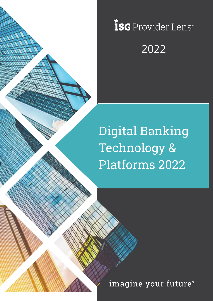

# ISG Provider Lens 2022

Digital Banking Technology & Platforms 2022

imagine your future®

Copyright © 2019, Information Services Group, Inc. All Rights Reserved. 1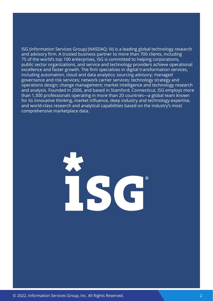ISG (Information Services Group) (NASDAQ: III) is a leading global technology research and advisory firm. A trusted business partner to more than 700 clients, including 75 of the world's top 100 enterprises, ISG is committed to helping corporations, public sector organizations, and service and technology providers achieve operational excellence and faster growth. The firm specializes in digital transformation services, including automation, cloud and data analytics; sourcing advisory; managed governance and risk services; network carrier services; technology strategy and operations design; change management; market intelligence and technology research and analysis. Founded in 2006, and based in Stamford, Connecticut, ISG employs more than 1,300 professionals operating in more than 20 countries—a global team known for its innovative thinking, market influence, deep industry and technology expertise, and world-class research and analytical capabilities based on the industry's most comprehensive marketplace data.

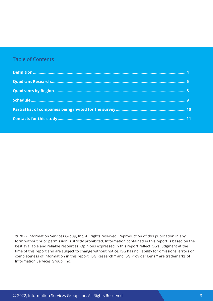## Table of Contents

 © 2022 Information Services Group, Inc. All rights reserved. Reproduction of this publication in any form without prior permission is strictly prohibited. Information contained in this report is based on the best available and reliable resources. Opinions expressed in this report reflect ISG's judgment at the time of this report and are subject to change without notice. ISG has no liability for omissions, errors or completeness of information in this report. ISG Research™ and ISG Provider Lens™ are trademarks of Information Services Group, Inc.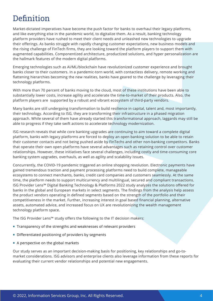# <span id="page-3-0"></span>**Definition**

Market-dictated imperatives have become the push factor for banks to overhaul their legacy platforms, and like everything else in the pandemic world, to digitalize them. As a result, banking technology platform providers have rushed to meet their client needs and unleashed new technologies to upgrade their offerings. As banks struggle with rapidly changing customer expectations, new business models and the rising challenge of FinTech firms, they are looking toward the platform players to support them with augmented capabilities. Componentized architecture, productized solutions, and hyper personalization are the hallmark features of the modern digital platforms.

Emerging technologies such as AI/ML/blockchain have revolutionized customer experience and brought banks closer to their customers. In a pandemic-torn world, with contactless delivery, remote working and flattening hierarchies becoming the new realities, banks have geared to the challenge by leveraging their technology platforms.

With more than 70 percent of banks moving to the cloud, most of these institutions have been able to substantially lower costs, increase agility and accelerate the time-to-market of their products. Also, the platform players are supported by a robust and vibrant ecosystem of third-party vendors.

Many banks are still undergoing transformation to build resilience in capital, talent and, most importantly, their technology. According to ISG, they are transforming their infrastructure in a phased migration approach. While several of them have already started this transformational approach, laggards may still be able to progress if they take swift actions to accelerate technology modernization.

ISG research reveals that while core banking upgrades are continuing to aim toward a complete digital platform, banks with legacy platforms are forced to deploy an open banking solution to be able to retain their customer contacts and not being pushed aside by FinTechs and other non-banking competitors. Banks that operate their own open platforms have several advantages such as retaining control over customer relationships. However, these initiatives face several challenges, including costly and time-consuming core banking system upgrades, overhauls, as well as agility and scalability issues.

Concurrently, the COVID-19 pandemic triggered an online shopping revolution. Electronic payments have gained tremendous traction and payment processing platforms need to build complete, manageable ecosystems to connect merchants, banks, credit card companies and customers seamlessly. At the same time, the platform needs to support multicurrency and multilingual, secured and compliant transactions. ISG Provider Lens™ Digital Banking Technology & Platforms 2022 study analyzes the solutions offered for banks in the global and European markets in select segments. The findings from the analysis help assess the product vendors operating in defined segments based on the strength of the portfolio and their competitiveness in the market. Further, increasing interest in goal based financial planning, alternative assets, automated advice, and increased focus on UX are revolutionizing the wealth management technology platform space.

The ISG Provider Lens™ study offers the following to the IT decision makers:

- Transparency of the strengths and weaknesses of relevant providers
- Differentiated positioning of providers by segments
- A perspective on the global markets

Our study serves as an important decision-making basis for positioning, key relationships and go-tomarket considerations. ISG advisors and enterprise clients also leverage information from these reports for evaluating their current vendor relationships and potential new engagements.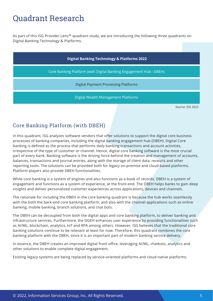## <span id="page-4-0"></span>Quadrant Research

As part of this ISG Provider Lens™ quadrant study, we are introducing the following three quadrants on Digital Banking Technology & Platforms.

| <b>Digital Banking Technology &amp; Platforms 2022</b>             |                  |  |  |  |
|--------------------------------------------------------------------|------------------|--|--|--|
| Core Banking Platform (with Digital Banking Engagement Hub - DBEH) |                  |  |  |  |
| <b>Digital Payment Processing Platforms</b>                        |                  |  |  |  |
| Digital Wealth Management Platforms                                |                  |  |  |  |
|                                                                    | Source: ISG 2022 |  |  |  |

## Core Banking Platform (with DBEH)

In this quadrant, ISG analyzes software vendors that offer solutions to support the digital core business processes of banking companies, including the digital banking engagement hub (DBEH). Digital Core banking is defined as the process that performs daily banking transactions and account activities, irrespective of the type of customer or channel. Hence, digital core banking software is the most crucial part of every bank. Banking software is the driving force behind the creation and management of accounts, balances, transactions and journal entries, along with the storage of client data, receipts and other reporting tools. The solutions can be provided both for legacy on-premise and cloud-based platforms. Platform players also provide DBEH functionalities.

While core banking is a system of engines and also functions as a book of records, DBEH is a system of engagement and functions as a system of experience, at the front-end. The DBEH helps banks to gain deep insights and deliver personalized customer experiences across applications, devices and channels.

The rationale for including the DBEH in the core banking quadrant is because the hub works seamlessly with the both the back-end core banking platform, and also with the channel applications such as online banking, mobile banking, branch solutions, and chat bots.

The DBEH can be decoupled from both the digital apps and core banking platform, to deliver banking and infrastructure services. Furthermore, the DGEH enhances user experience by providing functionalities such as AI/ML, blockchain, analytics, IoT and RPA among others. However, ISG believes that the traditional core banking solutions continue to be relevant at least for now. Therefore, this quadrant combines the core banking platform with the DBEH, since it is an important part of modern banking service delivery.

In essence, the DBEH creates an improved digital front office, leveraging AI/ML, chatbots, analytics and other solutions to enable complete digital engagement.

Existing legacy systems are being replaced by service-oriented platforms and cloud-native platforms.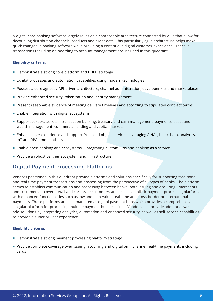A digital core banking software largely relies on a composable architecture connected by APIs that allow for decoupling distribution channels, products and client data. This particularly agile architecture helps make quick changes in banking software while providing a continuous digital customer experience. Hence, all transactions including on-boarding to account management are included in this quadrant.

#### **Eligibility criteria:**

- **Demonstrate a strong core platform and DBEH strategy**
- Exhibit processes and automation capabilities using modern technologies
- Possess a core agnostic API-driven architecture, channel administration, developer kits and marketplaces
- **Provide enhanced security, tokenization and identity management**
- **Present reasonable evidence of meeting delivery timelines and according to stipulated contract terms**
- **Enable integration with digital ecosystems**
- Support corporate, retail, transaction banking, treasury and cash management, payments, asset and wealth management, commercial lending and capital markets
- Enhance user experience and support front-end object services, leveraging AI/ML, blockchain, analytics, IoT and RPA among others.
- Enable open banking and ecosystems integrating custom APIs and banking as a service
- **Provide a robust partner ecosystem and infrastructure**

## Digital Payment Processing Platforms

Vendors positioned in this quadrant provide platforms and solutions specifically for supporting traditional and real-time payment transactions and processing from the perspective of all types of banks. The platform serves to establish communication and processing between banks (both issuing and acquiring), merchants and customers. It covers retail and corporate customers and acts as a holistic payment processing platform with enhanced functionalities such as low and high-value, real-time and cross-border or international payments. These platforms are also marketed as digital payment hubs which provides a comprehensive, singular platform for processing multiple payment business lines. Vendors also provide additional valueadd solutions by integrating analytics, automation and enhanced security, as well as self-service capabilities to provide a superior user experience.

#### **Eligibility criteria:**

- **Demonstrate a strong payment processing platform strategy**
- Provide complete coverage over issuing, acquiring and digital omnichannel real-time payments including cards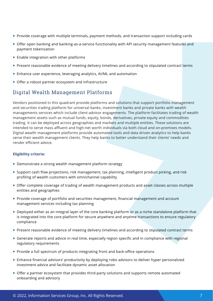- **Provide coverage with multiple terminals, payment methods, and transaction support including cards**
- Offer open banking and banking-as-a-service functionality with API security management features and payment tokenization
- $\blacksquare$  Enable integration with other platforms
- Present reasonable evidence of meeting delivery timelines and according to stipulated contract terms
- **Enhance user experience, leveraging analytics, AI/ML and automation**
- Offer a robust partner ecosystem and infrastructure

## Digital Wealth Management Platforms

Vendors positioned in this quadrant provide platforms and solutions that support portfolio management and securities trading platform for universal banks, investment banks and private banks with wealth managements services which include client-advisor engagements. The platform facilitates trading of wealth management assets such as mutual funds, equity, bonds, derivatives, private equity and commodities trading. It can be deployed across geographies and markets and multiple entities. These solutions are intended to serve mass affluent and high-net worth individuals via both cloud and on-premises models. Digital wealth management platforms provide automated tools and data driven analytics to help banks serve their wealth management clients. They help banks to better understand their clients' needs and render efficient advice.

#### **Eligibility criteria:**

- **Demonstrate a strong wealth management platform strategy**
- Support cash flow projections, risk management, tax planning, intelligent product picking, and risk profiling of wealth customers with omnichannel capability
- Offer complete coverage of trading of wealth management products and asset classes across multiple entities and geographies
- **Provide coverage of portfolio and securities management, financial management and account** management services including tax planning
- **Deployed either as an integral layer of the core banking platform or as a niche standalone platform that** is integrated into the core platform for secure anywhere and anytime transactions to ensure regulatory compliance
- **Present reasonable evidence of meeting delivery timelines and according to stipulated contract terms**
- Generate reports and advice in real time, especially region specific and in compliance with regional regulatory requirements
- **Provide a full spectrum of products integrating front and back-office operations**
- Enhance financial advisors' productivity by deploying robo advisors to deliver hyper personalized investment advice and facilitate dynamic asset allocation
- Offer a partner ecosystem that provides third-party solutions and supports remote automated onboarding and advisory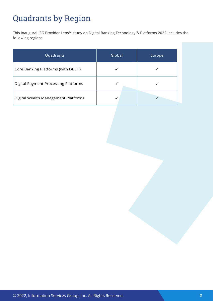# <span id="page-7-0"></span>Quadrants by Region

This inaugural ISG Provider Lens™ study on Digital Banking Technology & Platforms 2022 includes the following regions:

| Quadrants                                   | Global | Europe |
|---------------------------------------------|--------|--------|
| Core Banking Platforms (with DBEH)          |        |        |
| <b>Digital Payment Processing Platforms</b> |        |        |
| Digital Wealth Management Platforms         |        |        |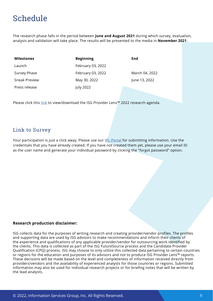# <span id="page-8-0"></span>Schedule

The research phase falls in the period between **June and August 2021** during which survey, evaluation, analysis and validation will take place. The results will be presented to the media in **November 2021**.

| <b>Milestones</b> | <b>Beginning</b>  | End            |
|-------------------|-------------------|----------------|
| Launch            | February 03, 2022 |                |
| Survey Phase      | February 03, 2022 | March 04, 2022 |
| Sneak Preview     | May 30, 2022      | June 13, 2022  |
| Press release     | July 2022         |                |

Please click this [link](https://isg-one.com/docs/default-source/default-document-library/ipl_annual_plan_2022.pdf) to view/download the ISG Provider Lens™ 2022 research agenda.

### Link to Survey

Your participation is just a click away. Please use our [IPL Portal](https://iplportal.isg-one.com/) for submitting information. Use the credentials that you have already created. If you have not created them yet, please use your email ID as the user name and generate your individual password by clicking the "forgot password" option.

#### **Research production disclaimer:**

ISG collects data for the purposes of writing research and creating provider/vendor profiles. The profiles and supporting data are used by ISG advisors to make recommendations and inform their clients of the experience and qualifications of any applicable provider/vendor for outsourcing work identified by the clients. This data is collected as part of the ISG FutureSource process and the Candidate Provider Qualification (CPQ) process. ISG may choose to only utilize this collected data pertaining to certain countries or regions for the education and purposes of its advisors and not to produce ISG Provider Lens™ reports. These decisions will be made based on the level and completeness of information received directly from providers/vendors and the availability of experienced analysts for those countries or regions. Submitted information may also be used for individual research projects or for briefing notes that will be written by the lead analysts.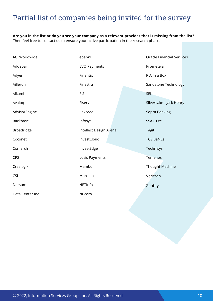## <span id="page-9-0"></span>Partial list of companies being invited for the survey

**Are you in the list or do you see your company as a relevant provider that is missing from the list?**  Then feel free to contact us to ensure your active participation in the research phase.

| ACI Worldwide    | ebankIT                | <b>Oracle Financial Services</b> |
|------------------|------------------------|----------------------------------|
| Addepar          | <b>EVO Payments</b>    | Prometeia                        |
| Adyen            | Finantix               | RIA In a Box                     |
| Ailleron         | Finastra               | Sandstone Technology             |
| Alkami           | <b>FIS</b>             | <b>SEI</b>                       |
| Avaloq           | Fiserv                 | SilverLake - Jack Henry          |
| AdvisorEngine    | i-exceed               | Sopra Banking                    |
| Backbase         | Infosys                | SS&C Eze                         |
| Broadridge       | Intellect Design Arena | <b>Tagit</b>                     |
| Coconet          | InvestCloud            | <b>TCS BaNCs</b>                 |
| Comarch          | InvestEdge             | Technisys                        |
| CR <sub>2</sub>  | Lusis Payments         | Temenos                          |
| Crealogix        | Mambu                  | Thought Machine                  |
| <b>CSI</b>       | Marqeta                | Veritran                         |
| Dorsum           | NETInfo                | Zentity                          |
| Data Center Inc. | Nucoro                 |                                  |